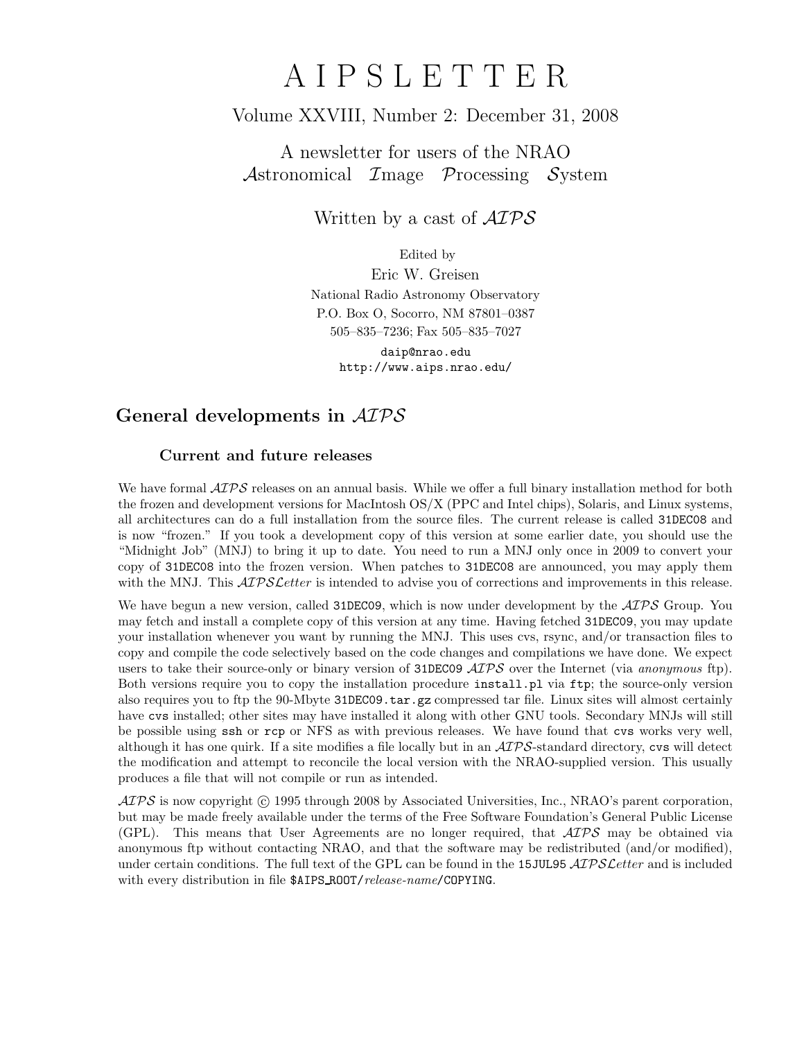# A I P S L E T T E R

## Volume XXVIII, Number 2: December 31, 2008

A newsletter for users of the NRAO Astronomical Image Processing System

Written by a cast of  $\mathcal{AIPS}$ 

Edited by Eric W. Greisen National Radio Astronomy Observatory P.O. Box O, Socorro, NM 87801–0387 505–835–7236; Fax 505–835–7027 daip@nrao.edu

http://www.aips.nrao.edu/

# General developments in AIPS

## Current and future releases

We have formal  $\mathcal{AIPS}$  releases on an annual basis. While we offer a full binary installation method for both the frozen and development versions for MacIntosh OS/X (PPC and Intel chips), Solaris, and Linux systems, all architectures can do a full installation from the source files. The current release is called 31DEC08 and is now "frozen." If you took a development copy of this version at some earlier date, you should use the "Midnight Job" (MNJ) to bring it up to date. You need to run a MNJ only once in 2009 to convert your copy of 31DEC08 into the frozen version. When patches to 31DEC08 are announced, you may apply them with the MNJ. This  $\mathcal{AIPS}$  Letter is intended to advise you of corrections and improvements in this release.

We have begun a new version, called 31DEC09, which is now under development by the  $\mathcal{AIPS}$  Group. You may fetch and install a complete copy of this version at any time. Having fetched 31DEC09, you may update your installation whenever you want by running the MNJ. This uses cvs, rsync, and/or transaction files to copy and compile the code selectively based on the code changes and compilations we have done. We expect users to take their source-only or binary version of 31DEC09  $\mathcal{AIPS}$  over the Internet (via anonymous ftp). Both versions require you to copy the installation procedure install.pl via ftp; the source-only version also requires you to ftp the 90-Mbyte 31DEC09.tar.gz compressed tar file. Linux sites will almost certainly have cvs installed; other sites may have installed it along with other GNU tools. Secondary MNJs will still be possible using ssh or rcp or NFS as with previous releases. We have found that cvs works very well, although it has one quirk. If a site modifies a file locally but in an  $\mathcal{AIPS}\text{-}standard$  directory, cvs will detect the modification and attempt to reconcile the local version with the NRAO-supplied version. This usually produces a file that will not compile or run as intended.

 $ATPS$  is now copyright  $\odot$  1995 through 2008 by Associated Universities, Inc., NRAO's parent corporation, but may be made freely available under the terms of the Free Software Foundation's General Public License (GPL). This means that User Agreements are no longer required, that  $\mathcal{AIPS}$  may be obtained via anonymous ftp without contacting NRAO, and that the software may be redistributed (and/or modified), under certain conditions. The full text of the GPL can be found in the 15JUL95 AIPS Letter and is included with every distribution in file \$AIPS\_ROOT/release-name/COPYING.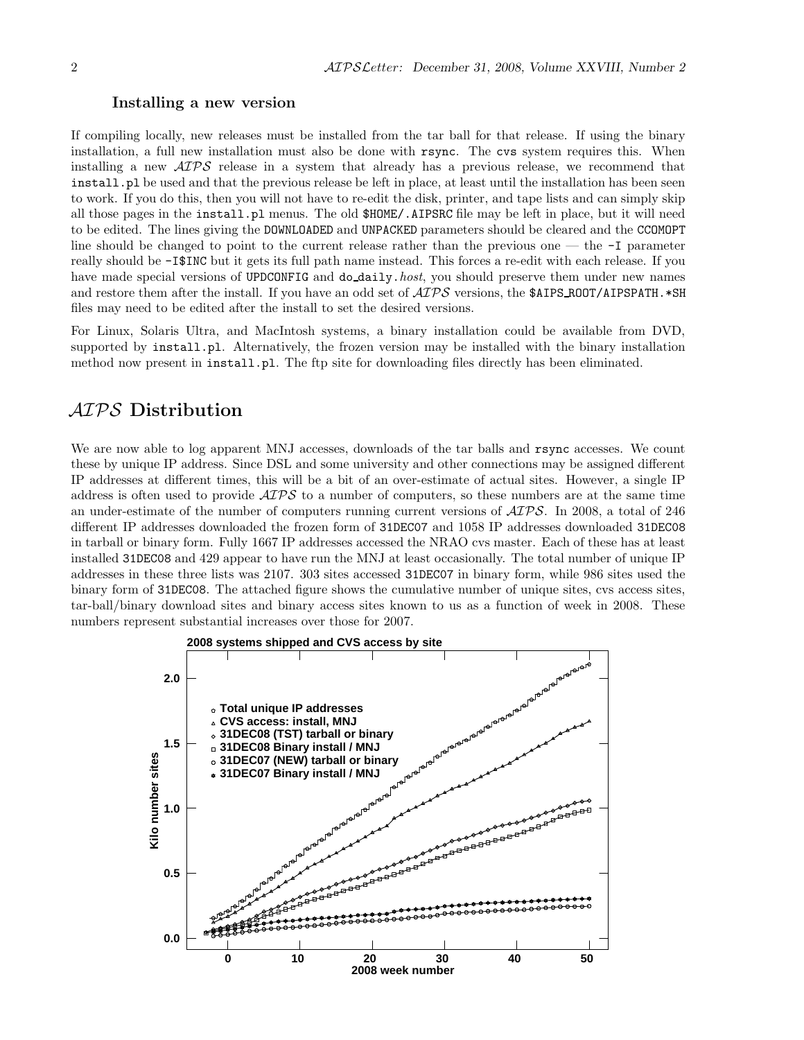#### Installing a new version

If compiling locally, new releases must be installed from the tar ball for that release. If using the binary installation, a full new installation must also be done with rsync. The cvs system requires this. When installing a new AIPS release in a system that already has a previous release, we recommend that install.pl be used and that the previous release be left in place, at least until the installation has been seen to work. If you do this, then you will not have to re-edit the disk, printer, and tape lists and can simply skip all those pages in the install.pl menus. The old \$HOME/.AIPSRC file may be left in place, but it will need to be edited. The lines giving the DOWNLOADED and UNPACKED parameters should be cleared and the CCOMOPT line should be changed to point to the current release rather than the previous one — the -I parameter really should be -I\$INC but it gets its full path name instead. This forces a re-edit with each release. If you have made special versions of UPDCONFIG and do\_daily.host, you should preserve them under new names and restore them after the install. If you have an odd set of  $\mathcal{AIPS}$  versions, the \$AIPS ROOT/AIPSPATH. \*SH files may need to be edited after the install to set the desired versions.

For Linux, Solaris Ultra, and MacIntosh systems, a binary installation could be available from DVD, supported by install.pl. Alternatively, the frozen version may be installed with the binary installation method now present in install.pl. The ftp site for downloading files directly has been eliminated.

## AIPS Distribution

We are now able to log apparent MNJ accesses, downloads of the tar balls and rsync accesses. We count these by unique IP address. Since DSL and some university and other connections may be assigned different IP addresses at different times, this will be a bit of an over-estimate of actual sites. However, a single IP address is often used to provide  $\mathcal{A} \mathcal{I} \mathcal{P} \mathcal{S}$  to a number of computers, so these numbers are at the same time an under-estimate of the number of computers running current versions of AIPS. In 2008, a total of 246 different IP addresses downloaded the frozen form of 31DEC07 and 1058 IP addresses downloaded 31DEC08 in tarball or binary form. Fully 1667 IP addresses accessed the NRAO cvs master. Each of these has at least installed 31DEC08 and 429 appear to have run the MNJ at least occasionally. The total number of unique IP addresses in these three lists was 2107. 303 sites accessed 31DEC07 in binary form, while 986 sites used the binary form of 31DEC08. The attached figure shows the cumulative number of unique sites, cvs access sites, tar-ball/binary download sites and binary access sites known to us as a function of week in 2008. These numbers represent substantial increases over those for 2007.

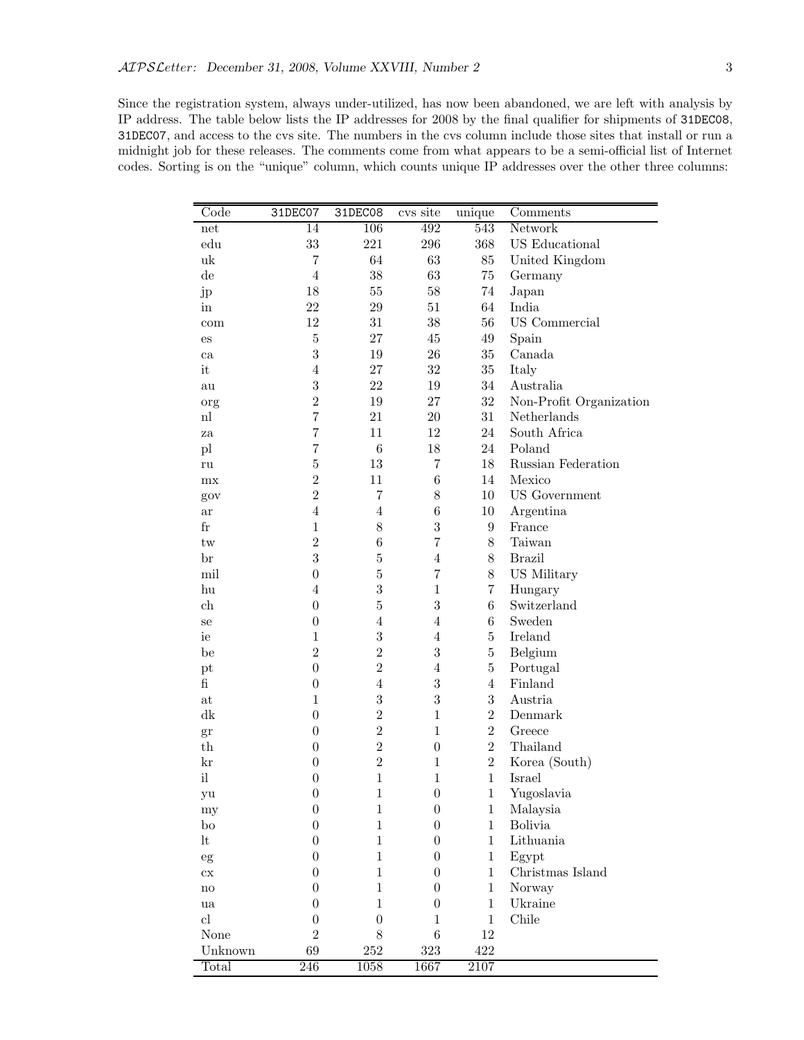Since the registration system, always under-utilized, has now been abandoned, we are left with analysis by IP address. The table below lists the IP addresses for 2008 by the final qualifier for shipments of 31DEC08, 31DEC07, and access to the cvs site. The numbers in the cvs column include those sites that install or run a midnight job for these releases. The comments come from what appears to be a semi-official list of Internet codes. Sorting is on the "unique" column, which counts unique IP addresses over the other three columns:

| Code                       | 31DEC07          | 31DEC08          | cvs site         | unique         | Comments                |
|----------------------------|------------------|------------------|------------------|----------------|-------------------------|
| net                        | 14               | 106              | 492              | 543            | Network                 |
| $_{\rm edu}$               | 33               | 221              | 296              | 368            | <b>US</b> Educational   |
| uk                         | $\,7$            | 64               | 63               | $85\,$         | United Kingdom          |
| $\mathrm{d}\mathrm{e}$     | $\overline{4}$   | 38               | 63               | $75\,$         | Germany                 |
| jp                         | 18               | $55\,$           | $58\,$           | 74             | Japan                   |
| in                         | 22               | 29               | $51\,$           | 64             | India                   |
| com                        | 12               | 31               | $38\,$           | 56             | US Commercial           |
| es                         | $\bf 5$          | 27               | $45\,$           | $\rm 49$       | Spain                   |
| ca                         | $\sqrt{3}$       | $19\,$           | $26\,$           | $35\,$         | Canada                  |
| it                         | $\overline{4}$   | 27               | $32\,$           | $35\,$         | Italy                   |
| au                         | $\sqrt{3}$       | 22               | $19\,$           | $34\,$         | Australia               |
| org                        | $\overline{2}$   | $19\,$           | 27               | $32\,$         | Non-Profit Organization |
| n                          | $\overline{7}$   | 21               | $20\,$           | 31             | Netherlands             |
| za                         | $\overline{7}$   | 11               | 12               | 24             | South Africa            |
| pl                         | $\overline{7}$   | $\,6$            | $18\,$           | 24             | Poland                  |
| ru                         | $\overline{5}$   | 13               | $\overline{7}$   | 18             | Russian Federation      |
| mx                         | $\overline{2}$   | 11               | $\,6$            | 14             | Mexico                  |
| gov                        | $\overline{2}$   | $\overline{7}$   | $8\,$            | 10             | <b>US</b> Government    |
| ar                         | $\overline{4}$   | $\overline{4}$   | $\,6$            | $10\,$         | Argentina               |
| $_{\rm fr}$                | $\mathbf{1}$     | 8                | 3                | 9              | France                  |
| $\mathop{\mathrm{tw}}$     | $\overline{2}$   | $\,6$            | $\overline{7}$   | 8              | Taiwan                  |
| br                         | 3                | $\bf 5$          | $\overline{4}$   | 8              | <b>Brazil</b>           |
| mil                        | $\boldsymbol{0}$ | $\bf 5$          | $\overline{7}$   | 8              | US Military             |
| hu                         | $\overline{4}$   | 3                | $\mathbf{1}$     | $\overline{7}$ | Hungary                 |
| ch                         | $\boldsymbol{0}$ | $\bf 5$          | 3                | $\,6$          | Switzerland             |
| se                         | $\boldsymbol{0}$ | $\overline{4}$   | $\overline{4}$   | $\,6\,$        | Sweden                  |
| ie                         | $\mathbf{1}$     | 3                | $\overline{4}$   | $\overline{5}$ | Ireland                 |
| be                         | $\overline{2}$   | $\overline{2}$   | 3                | $\bf 5$        | Belgium                 |
| pt                         | $\boldsymbol{0}$ | $\overline{2}$   | $\overline{4}$   | $\overline{5}$ | Portugal                |
| $\mathbf{f}$               | $\boldsymbol{0}$ | $\overline{4}$   | $\boldsymbol{3}$ | $\overline{4}$ | Finland                 |
| $\operatorname{at}$        | $\mathbf{1}$     | 3                | $\boldsymbol{3}$ | 3              | Austria                 |
| dk                         | $\boldsymbol{0}$ | $\overline{2}$   | $\mathbf{1}$     | $\overline{2}$ | Denmark                 |
| gr                         | $\boldsymbol{0}$ | $\overline{2}$   | $\mathbf{1}$     | $\overline{2}$ | Greece                  |
| $^{\rm th}$                | $\boldsymbol{0}$ | $\overline{2}$   | $\boldsymbol{0}$ | $\overline{2}$ | Thailand                |
| kr                         | $\boldsymbol{0}$ | $\overline{2}$   | $\mathbf{1}$     | $\overline{2}$ | Korea (South)           |
| $\mathrm{i} \mathbf{l}$    | $\boldsymbol{0}$ | $\mathbf{1}$     | $\mathbf{1}$     | $\mathbf{1}$   | Israel                  |
| уu                         | $\boldsymbol{0}$ | $\,1$            | $\boldsymbol{0}$ | $\,1$          | Yugoslavia              |
| my                         | $\boldsymbol{0}$ | $\,1\,$          | $\boldsymbol{0}$ | $\mathbf 1$    | Malaysia                |
| bo                         | $\boldsymbol{0}$ | $\mathbf{1}$     | $\boldsymbol{0}$ | $\mathbf{1}$   | <b>Bolivia</b>          |
| lt                         | $\boldsymbol{0}$ | $\mathbf{1}$     | $\overline{0}$   | $\mathbf{1}$   | Lithuania               |
| eg                         | $\boldsymbol{0}$ | $\mathbf{1}$     | $\overline{0}$   | $\mathbf{1}$   | Egypt                   |
| $\mathop{\rm cx}\nolimits$ | $\overline{0}$   | $\mathbf{1}$     | $\overline{0}$   | $\mathbf{1}$   | Christmas Island        |
| $\mathop{\mathrm{no}}$     | $\theta$         | $\mathbf{1}$     | $\overline{0}$   | $\,1$          | Norway                  |
| ua                         | $\theta$         | $\mathbf{1}$     | $\overline{0}$   | $\mathbf{1}$   | Ukraine                 |
| $\mathop{\rm cl}\nolimits$ | $\overline{0}$   | $\boldsymbol{0}$ | $\mathbf{1}$     | $\mathbf{1}$   | Chile                   |
| None                       | $\overline{2}$   | 8                | 6                | $12\,$         |                         |
| Unknown                    | 69               | $252\,$          | 323              | 422            |                         |
| Total                      | $246\,$          | 1058             | 1667             | $2107\,$       |                         |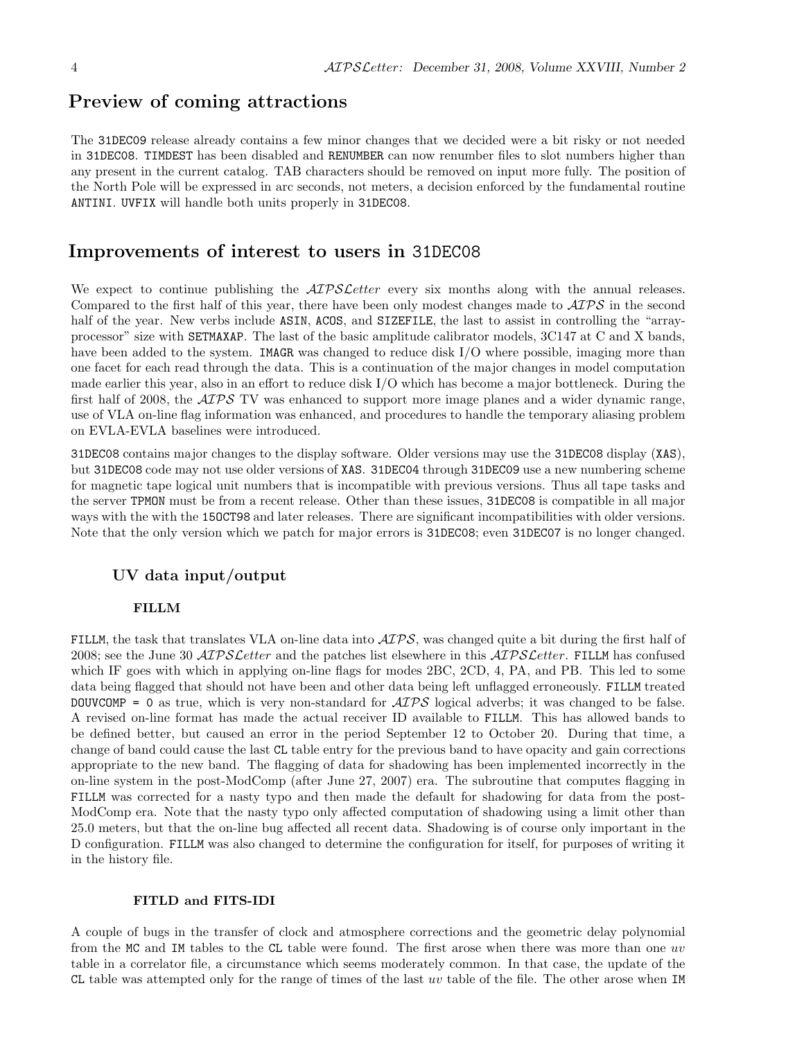## Preview of coming attractions

The 31DEC09 release already contains a few minor changes that we decided were a bit risky or not needed in 31DEC08. TIMDEST has been disabled and RENUMBER can now renumber files to slot numbers higher than any present in the current catalog. TAB characters should be removed on input more fully. The position of the North Pole will be expressed in arc seconds, not meters, a decision enforced by the fundamental routine ANTINI. UVFIX will handle both units properly in 31DEC08.

## Improvements of interest to users in 31DEC08

We expect to continue publishing the  $\mathcal{A}TPS\mathcal{L}$  etter every six months along with the annual releases. Compared to the first half of this year, there have been only modest changes made to  $\mathcal{AIPS}$  in the second half of the year. New verbs include ASIN, ACOS, and SIZEFILE, the last to assist in controlling the "arrayprocessor" size with SETMAXAP. The last of the basic amplitude calibrator models, 3C147 at C and X bands, have been added to the system. IMAGR was changed to reduce disk I/O where possible, imaging more than one facet for each read through the data. This is a continuation of the major changes in model computation made earlier this year, also in an effort to reduce disk I/O which has become a major bottleneck. During the first half of 2008, the  $\mathcal{AIPS}$  TV was enhanced to support more image planes and a wider dynamic range, use of VLA on-line flag information was enhanced, and procedures to handle the temporary aliasing problem on EVLA-EVLA baselines were introduced.

31DEC08 contains major changes to the display software. Older versions may use the 31DEC08 display (XAS), but 31DEC08 code may not use older versions of XAS. 31DEC04 through 31DEC09 use a new numbering scheme for magnetic tape logical unit numbers that is incompatible with previous versions. Thus all tape tasks and the server TPMON must be from a recent release. Other than these issues, 31DEC08 is compatible in all major ways with the with the 15OCT98 and later releases. There are significant incompatibilities with older versions. Note that the only version which we patch for major errors is 31DEC08; even 31DEC07 is no longer changed.

#### UV data input/output

#### FILLM

FILLM, the task that translates VLA on-line data into  $\mathcal{AIPS}$ , was changed quite a bit during the first half of 2008; see the June 30  $ATPSLetter$  and the patches list elsewhere in this  $ATPSLetter$ . FILLM has confused which IF goes with which in applying on-line flags for modes 2BC, 2CD, 4, PA, and PB. This led to some data being flagged that should not have been and other data being left unflagged erroneously. FILLM treated DOUVCOMP = 0 as true, which is very non-standard for  $\widehat{ATPS}$  logical adverbs; it was changed to be false. A revised on-line format has made the actual receiver ID available to FILLM. This has allowed bands to be defined better, but caused an error in the period September 12 to October 20. During that time, a change of band could cause the last CL table entry for the previous band to have opacity and gain corrections appropriate to the new band. The flagging of data for shadowing has been implemented incorrectly in the on-line system in the post-ModComp (after June 27, 2007) era. The subroutine that computes flagging in FILLM was corrected for a nasty typo and then made the default for shadowing for data from the post-ModComp era. Note that the nasty typo only affected computation of shadowing using a limit other than 25.0 meters, but that the on-line bug affected all recent data. Shadowing is of course only important in the D configuration. FILLM was also changed to determine the configuration for itself, for purposes of writing it in the history file.

#### FITLD and FITS-IDI

A couple of bugs in the transfer of clock and atmosphere corrections and the geometric delay polynomial from the MC and IM tables to the CL table were found. The first arose when there was more than one uv table in a correlator file, a circumstance which seems moderately common. In that case, the update of the CL table was attempted only for the range of times of the last uv table of the file. The other arose when IM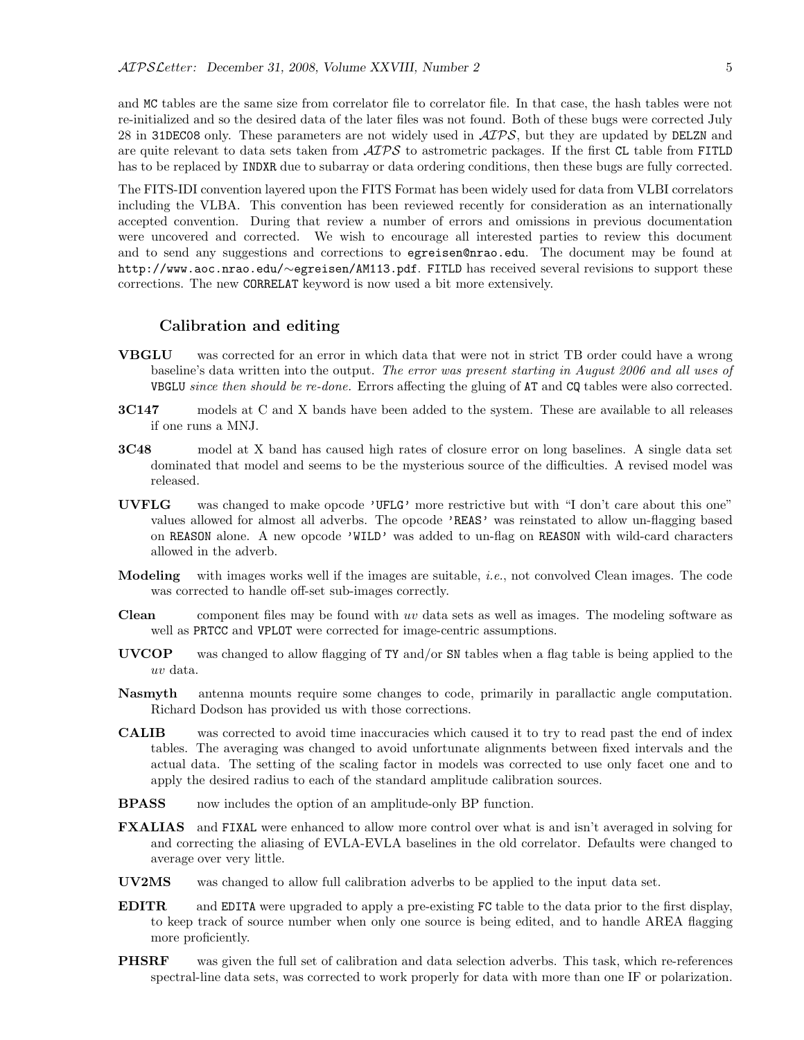and MC tables are the same size from correlator file to correlator file. In that case, the hash tables were not re-initialized and so the desired data of the later files was not found. Both of these bugs were corrected July 28 in 31DEC08 only. These parameters are not widely used in  $\mathcal{AIPS}$ , but they are updated by DELZN and are quite relevant to data sets taken from  $\mathcal{AIPS}$  to astrometric packages. If the first CL table from FITLD has to be replaced by INDXR due to subarray or data ordering conditions, then these bugs are fully corrected.

The FITS-IDI convention layered upon the FITS Format has been widely used for data from VLBI correlators including the VLBA. This convention has been reviewed recently for consideration as an internationally accepted convention. During that review a number of errors and omissions in previous documentation were uncovered and corrected. We wish to encourage all interested parties to review this document and to send any suggestions and corrections to egreisen@nrao.edu. The document may be found at http://www.aoc.nrao.edu/∼egreisen/AM113.pdf. FITLD has received several revisions to support these corrections. The new CORRELAT keyword is now used a bit more extensively.

#### Calibration and editing

- VBGLU was corrected for an error in which data that were not in strict TB order could have a wrong baseline's data written into the output. The error was present starting in August 2006 and all uses of VBGLU since then should be re-done. Errors affecting the gluing of AT and CQ tables were also corrected.
- 3C147 models at C and X bands have been added to the system. These are available to all releases if one runs a MNJ.
- 3C48 model at X band has caused high rates of closure error on long baselines. A single data set dominated that model and seems to be the mysterious source of the difficulties. A revised model was released.
- UVFLG was changed to make opcode 'UFLG' more restrictive but with "I don't care about this one" values allowed for almost all adverbs. The opcode 'REAS' was reinstated to allow un-flagging based on REASON alone. A new opcode 'WILD' was added to un-flag on REASON with wild-card characters allowed in the adverb.
- **Modeling** with images works well if the images are suitable, *i.e.*, not convolved Clean images. The code was corrected to handle off-set sub-images correctly.
- **Clean** component files may be found with uv data sets as well as images. The modeling software as well as PRTCC and VPLOT were corrected for image-centric assumptions.
- UVCOP was changed to allow flagging of TY and/or SN tables when a flag table is being applied to the uv data.
- Nasmyth antenna mounts require some changes to code, primarily in parallactic angle computation. Richard Dodson has provided us with those corrections.
- CALIB was corrected to avoid time inaccuracies which caused it to try to read past the end of index tables. The averaging was changed to avoid unfortunate alignments between fixed intervals and the actual data. The setting of the scaling factor in models was corrected to use only facet one and to apply the desired radius to each of the standard amplitude calibration sources.
- **BPASS** now includes the option of an amplitude-only BP function.
- FXALIAS and FIXAL were enhanced to allow more control over what is and isn't averaged in solving for and correcting the aliasing of EVLA-EVLA baselines in the old correlator. Defaults were changed to average over very little.
- UV2MS was changed to allow full calibration adverbs to be applied to the input data set.
- EDITR and EDITA were upgraded to apply a pre-existing FC table to the data prior to the first display, to keep track of source number when only one source is being edited, and to handle AREA flagging more proficiently.
- **PHSRF** was given the full set of calibration and data selection adverbs. This task, which re-references spectral-line data sets, was corrected to work properly for data with more than one IF or polarization.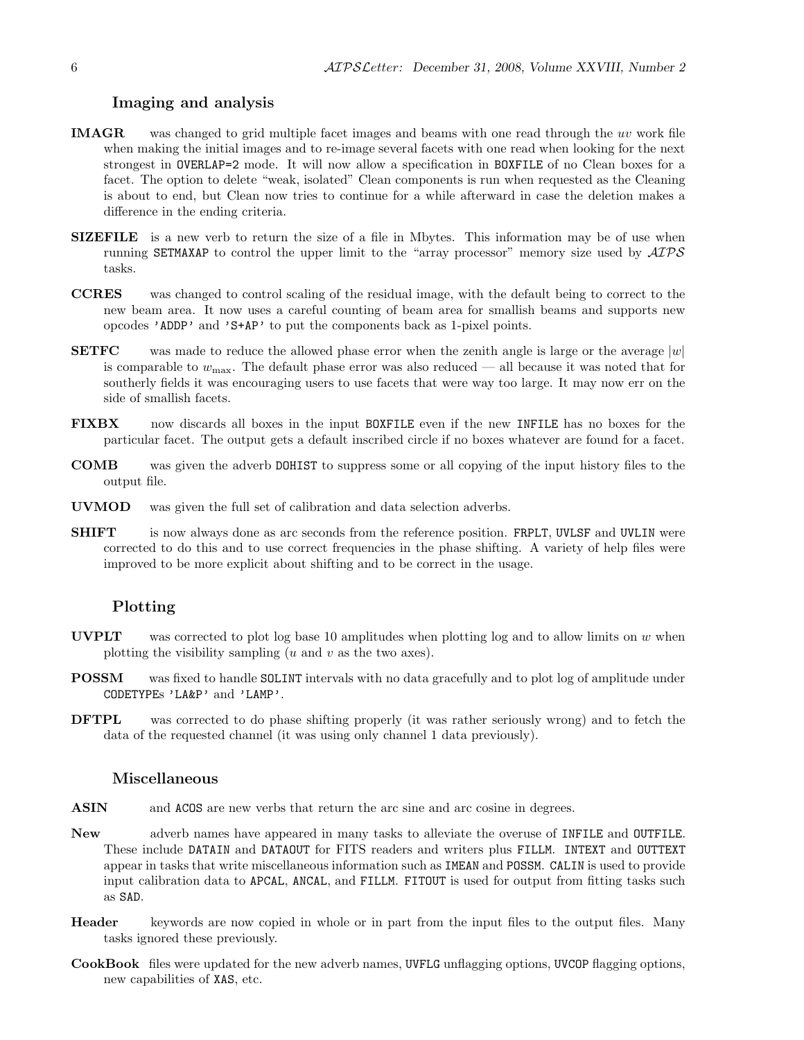#### Imaging and analysis

- IMAGR was changed to grid multiple facet images and beams with one read through the uv work file when making the initial images and to re-image several facets with one read when looking for the next strongest in OVERLAP=2 mode. It will now allow a specification in BOXFILE of no Clean boxes for a facet. The option to delete "weak, isolated" Clean components is run when requested as the Cleaning is about to end, but Clean now tries to continue for a while afterward in case the deletion makes a difference in the ending criteria.
- SIZEFILE is a new verb to return the size of a file in Mbytes. This information may be of use when running SETMAXAP to control the upper limit to the "array processor" memory size used by  $\mathcal{AIPS}$ tasks.
- CCRES was changed to control scaling of the residual image, with the default being to correct to the new beam area. It now uses a careful counting of beam area for smallish beams and supports new opcodes 'ADDP' and 'S+AP' to put the components back as 1-pixel points.
- **SETFC** was made to reduce the allowed phase error when the zenith angle is large or the average  $|w|$ is comparable to  $w_{\text{max}}$ . The default phase error was also reduced — all because it was noted that for southerly fields it was encouraging users to use facets that were way too large. It may now err on the side of smallish facets.
- FIXBX now discards all boxes in the input BOXFILE even if the new INFILE has no boxes for the particular facet. The output gets a default inscribed circle if no boxes whatever are found for a facet.
- COMB was given the adverb DOHIST to suppress some or all copying of the input history files to the output file.
- UVMOD was given the full set of calibration and data selection adverbs.
- **SHIFT** is now always done as arc seconds from the reference position. FRPLT, UVLSF and UVLIN were corrected to do this and to use correct frequencies in the phase shifting. A variety of help files were improved to be more explicit about shifting and to be correct in the usage.

#### Plotting

- UVPLT was corrected to plot log base 10 amplitudes when plotting log and to allow limits on  $w$  when plotting the visibility sampling  $(u \text{ and } v \text{ as the two axes}).$
- POSSM was fixed to handle SOLINT intervals with no data gracefully and to plot log of amplitude under CODETYPEs 'LA&P' and 'LAMP'.
- DFTPL was corrected to do phase shifting properly (it was rather seriously wrong) and to fetch the data of the requested channel (it was using only channel 1 data previously).

### Miscellaneous

- ASIN and ACOS are new verbs that return the arc sine and arc cosine in degrees.
- New adverb names have appeared in many tasks to alleviate the overuse of INFILE and OUTFILE. These include DATAIN and DATAOUT for FITS readers and writers plus FILLM. INTEXT and OUTTEXT appear in tasks that write miscellaneous information such as IMEAN and POSSM. CALIN is used to provide input calibration data to APCAL, ANCAL, and FILLM. FITOUT is used for output from fitting tasks such as SAD.
- Header keywords are now copied in whole or in part from the input files to the output files. Many tasks ignored these previously.
- CookBook files were updated for the new adverb names, UVFLG unflagging options, UVCOP flagging options, new capabilities of XAS, etc.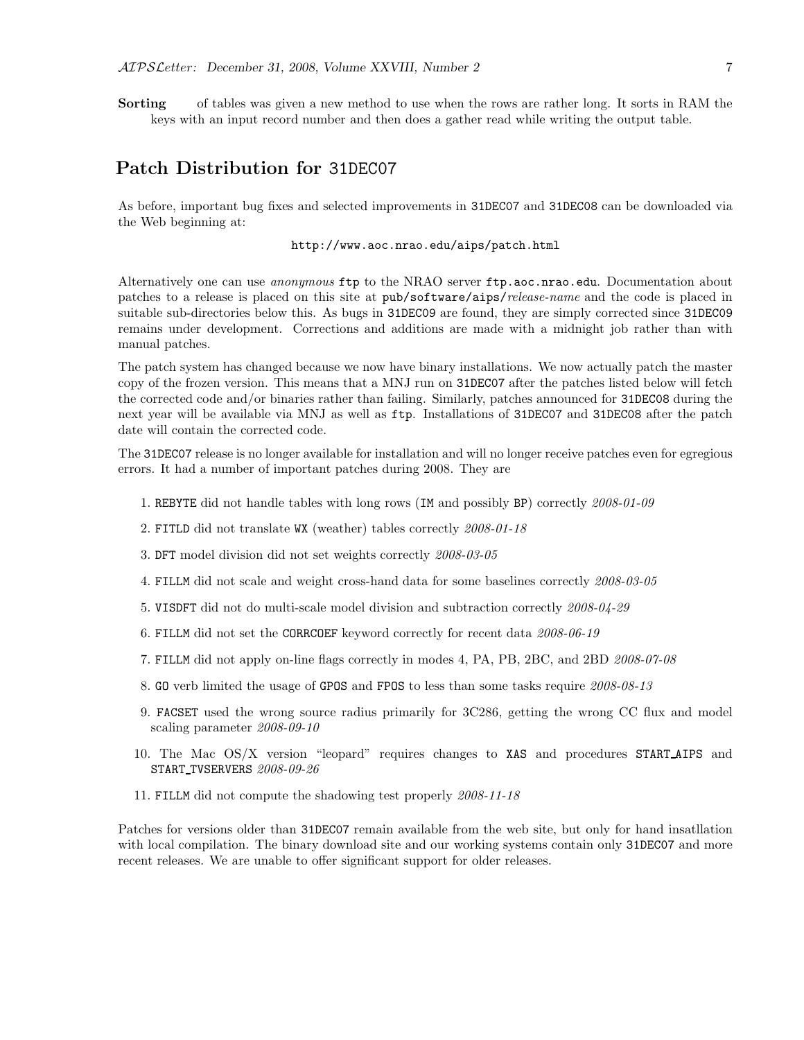Sorting of tables was given a new method to use when the rows are rather long. It sorts in RAM the keys with an input record number and then does a gather read while writing the output table.

## Patch Distribution for 31DEC07

As before, important bug fixes and selected improvements in 31DEC07 and 31DEC08 can be downloaded via the Web beginning at:

#### http://www.aoc.nrao.edu/aips/patch.html

Alternatively one can use *anonymous* ftp to the NRAO server ftp.aoc.nrao.edu. Documentation about patches to a release is placed on this site at pub/software/aips/release-name and the code is placed in suitable sub-directories below this. As bugs in 31DEC09 are found, they are simply corrected since 31DEC09 remains under development. Corrections and additions are made with a midnight job rather than with manual patches.

The patch system has changed because we now have binary installations. We now actually patch the master copy of the frozen version. This means that a MNJ run on 31DEC07 after the patches listed below will fetch the corrected code and/or binaries rather than failing. Similarly, patches announced for 31DEC08 during the next year will be available via MNJ as well as ftp. Installations of 31DEC07 and 31DEC08 after the patch date will contain the corrected code.

The 31DEC07 release is no longer available for installation and will no longer receive patches even for egregious errors. It had a number of important patches during 2008. They are

- 1. REBYTE did not handle tables with long rows (IM and possibly BP) correctly 2008-01-09
- 2. FITLD did not translate WX (weather) tables correctly 2008-01-18
- 3. DFT model division did not set weights correctly 2008-03-05
- 4. FILLM did not scale and weight cross-hand data for some baselines correctly 2008-03-05
- 5. VISDFT did not do multi-scale model division and subtraction correctly 2008-04-29
- 6. FILLM did not set the CORRCOEF keyword correctly for recent data 2008-06-19
- 7. FILLM did not apply on-line flags correctly in modes 4, PA, PB, 2BC, and 2BD 2008-07-08
- 8. GO verb limited the usage of GPOS and FPOS to less than some tasks require 2008-08-13
- 9. FACSET used the wrong source radius primarily for 3C286, getting the wrong CC flux and model scaling parameter 2008-09-10
- 10. The Mac OS/X version "leopard" requires changes to XAS and procedures START AIPS and START TVSERVERS 2008-09-26
- 11. FILLM did not compute the shadowing test properly 2008-11-18

Patches for versions older than 31DEC07 remain available from the web site, but only for hand insatllation with local compilation. The binary download site and our working systems contain only 31DEC07 and more recent releases. We are unable to offer significant support for older releases.